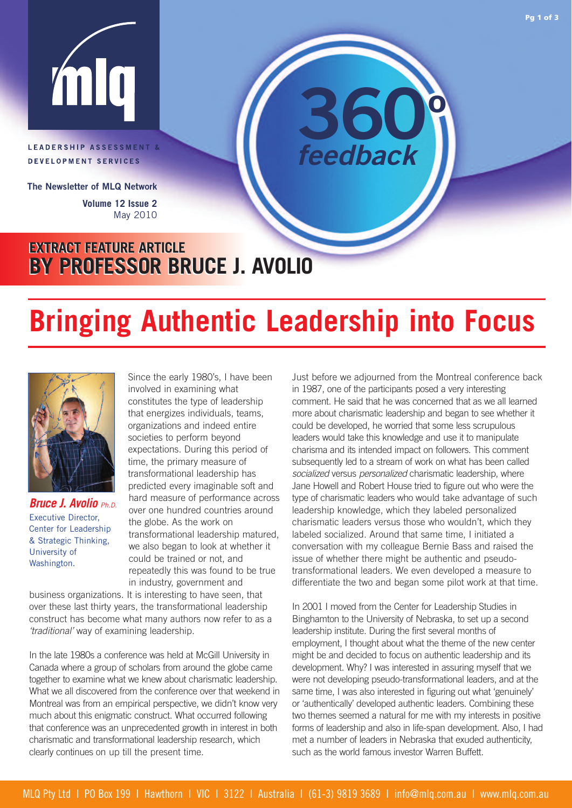

## LEADERSHIP ASSESSMENT & DEVELOPMENT SERVICES

**The Newsletter of MLQ Network Volume 12 Issue 2** May 2010

## **EXTRACT FEATURE ARTICLE EXTRACT FEATURE ARTICLE BY PROFESSOR BRUCE J. AVOLIO BY PROFESSOR BRUCE J. AVOLIO**

# **Bringing Authentic Leadership into Focus**



*Bruce J. Avolio* Ph.D. Executive Director, Center for Leadership & Strategic Thinking, University of Washington.

Since the early 1980's, I have been involved in examining what constitutes the type of leadership that energizes individuals, teams, organizations and indeed entire societies to perform beyond expectations. During this period of time, the primary measure of transformational leadership has predicted every imaginable soft and hard measure of performance across over one hundred countries around the globe. As the work on transformational leadership matured, we also began to look at whether it could be trained or not, and repeatedly this was found to be true in industry, government and

business organizations. It is interesting to have seen, that over these last thirty years, the transformational leadership construct has become what many authors now refer to as a 'traditional' way of examining leadership.

In the late 1980s a conference was held at McGill University in Canada where a group of scholars from around the globe came together to examine what we knew about charismatic leadership. What we all discovered from the conference over that weekend in Montreal was from an empirical perspective, we didn't know very much about this enigmatic construct. What occurred following that conference was an unprecedented growth in interest in both charismatic and transformational leadership research, which clearly continues on up till the present time.

Just before we adjourned from the Montreal conference back in 1987, one of the participants posed a very interesting comment. He said that he was concerned that as we all learned more about charismatic leadership and began to see whether it could be developed, he worried that some less scrupulous leaders would take this knowledge and use it to manipulate charisma and its intended impact on followers. This comment subsequently led to a stream of work on what has been called socialized versus *personalized* charismatic leadership, where Jane Howell and Robert House tried to figure out who were the type of charismatic leaders who would take advantage of such leadership knowledge, which they labeled personalized charismatic leaders versus those who wouldn't, which they labeled socialized. Around that same time, I initiated a conversation with my colleague Bernie Bass and raised the issue of whether there might be authentic and pseudotransformational leaders. We even developed a measure to differentiate the two and began some pilot work at that time.

**360º**

*feedback*

In 2001 I moved from the Center for Leadership Studies in Binghamton to the University of Nebraska, to set up a second leadership institute. During the first several months of employment, I thought about what the theme of the new center might be and decided to focus on authentic leadership and its development. Why? I was interested in assuring myself that we were not developing pseudo-transformational leaders, and at the same time, I was also interested in figuring out what 'genuinely' or 'authentically' developed authentic leaders. Combining these two themes seemed a natural for me with my interests in positive forms of leadership and also in life-span development. Also, I had met a number of leaders in Nebraska that exuded authenticity, such as the world famous investor Warren Buffett.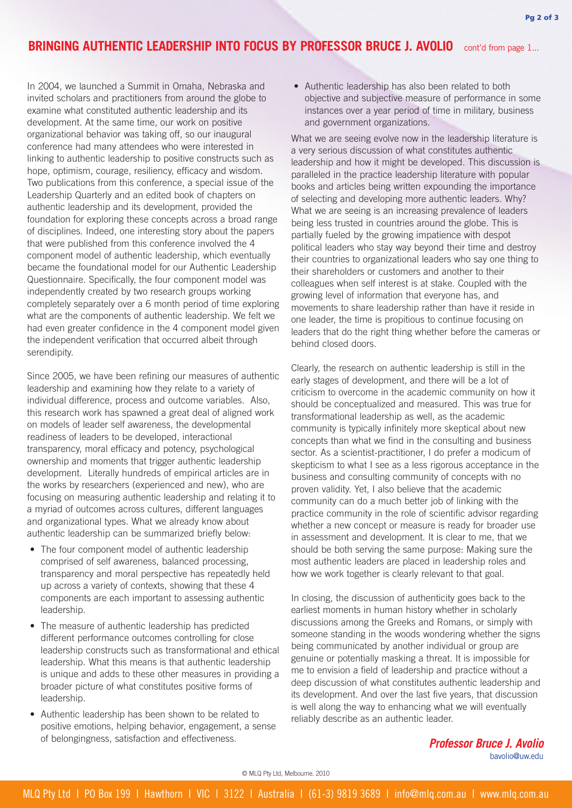## **BRINGING AUTHENTIC LEADERSHIP INTO FOCUS BY PROFESSOR BRUCE J. AVOLIO** cont'd from page 1...

In 2004, we launched a Summit in Omaha, Nebraska and invited scholars and practitioners from around the globe to examine what constituted authentic leadership and its development. At the same time, our work on positive organizational behavior was taking off, so our inaugural conference had many attendees who were interested in linking to authentic leadership to positive constructs such as hope, optimism, courage, resiliency, efficacy and wisdom. Two publications from this conference, a special issue of the Leadership Quarterly and an edited book of chapters on authentic leadership and its development, provided the foundation for exploring these concepts across a broad range of disciplines. Indeed, one interesting story about the papers that were published from this conference involved the 4 component model of authentic leadership, which eventually became the foundational model for our Authentic Leadership Questionnaire. Specifically, the four component model was independently created by two research groups working completely separately over a 6 month period of time exploring what are the components of authentic leadership. We felt we had even greater confidence in the 4 component model given the independent verification that occurred albeit through serendipity.

Since 2005, we have been refining our measures of authentic leadership and examining how they relate to a variety of individual difference, process and outcome variables. Also, this research work has spawned a great deal of aligned work on models of leader self awareness, the developmental readiness of leaders to be developed, interactional transparency, moral efficacy and potency, psychological ownership and moments that trigger authentic leadership development. Literally hundreds of empirical articles are in the works by researchers (experienced and new), who are focusing on measuring authentic leadership and relating it to a myriad of outcomes across cultures, different languages and organizational types. What we already know about authentic leadership can be summarized briefly below:

- The four component model of authentic leadership comprised of self awareness, balanced processing, transparency and moral perspective has repeatedly held up across a variety of contexts, showing that these 4 components are each important to assessing authentic leadership.
- The measure of authentic leadership has predicted different performance outcomes controlling for close leadership constructs such as transformational and ethical leadership. What this means is that authentic leadership is unique and adds to these other measures in providing a broader picture of what constitutes positive forms of leadership.
- Authentic leadership has been shown to be related to positive emotions, helping behavior, engagement, a sense of belongingness, satisfaction and effectiveness.

• Authentic leadership has also been related to both objective and subjective measure of performance in some instances over a year period of time in military, business and government organizations.

What we are seeing evolve now in the leadership literature is a very serious discussion of what constitutes authentic leadership and how it might be developed. This discussion is paralleled in the practice leadership literature with popular books and articles being written expounding the importance of selecting and developing more authentic leaders. Why? What we are seeing is an increasing prevalence of leaders being less trusted in countries around the globe. This is partially fueled by the growing impatience with despot political leaders who stay way beyond their time and destroy their countries to organizational leaders who say one thing to their shareholders or customers and another to their colleagues when self interest is at stake. Coupled with the growing level of information that everyone has, and movements to share leadership rather than have it reside in one leader, the time is propitious to continue focusing on leaders that do the right thing whether before the cameras or behind closed doors.

Clearly, the research on authentic leadership is still in the early stages of development, and there will be a lot of criticism to overcome in the academic community on how it should be conceptualized and measured. This was true for transformational leadership as well, as the academic community is typically infinitely more skeptical about new concepts than what we find in the consulting and business sector. As a scientist-practitioner, I do prefer a modicum of skepticism to what I see as a less rigorous acceptance in the business and consulting community of concepts with no proven validity. Yet, I also believe that the academic community can do a much better job of linking with the practice community in the role of scientific advisor regarding whether a new concept or measure is ready for broader use in assessment and development. It is clear to me, that we should be both serving the same purpose: Making sure the most authentic leaders are placed in leadership roles and how we work together is clearly relevant to that goal.

In closing, the discussion of authenticity goes back to the earliest moments in human history whether in scholarly discussions among the Greeks and Romans, or simply with someone standing in the woods wondering whether the signs being communicated by another individual or group are genuine or potentially masking a threat. It is impossible for me to envision a field of leadership and practice without a deep discussion of what constitutes authentic leadership and its development. And over the last five years, that discussion is well along the way to enhancing what we will eventually reliably describe as an authentic leader.

#### *Professor Bruce J. Avolio* bavolio@uw.edu

© MLQ Pty Ltd, Melbourne. 2010